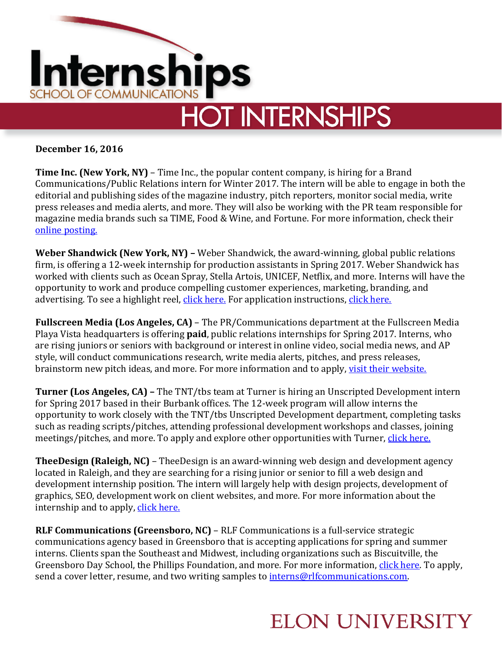

**December 16, 2016**

**Time Inc. (New York, NY)** – Time Inc., the popular content company, is hiring for a Brand Communications/Public Relations intern for Winter 2017. The intern will be able to engage in both the editorial and publishing sides of the magazine industry, pitch reporters, monitor social media, write press releases and media alerts, and more. They will also be working with the PR team responsible for magazine media brands such sa TIME, Food & Wine, and Fortune. For more information, check their [online posting.](https://timeinc.wd5.myworkdayjobs.com/en-US/Careers/job/New-York-NY/Brand-Communications-PR-Intern--Winter-2017_JR0004327?source=IndeedOrganic)

**Weber Shandwick (New York, NY) –** Weber Shandwick, the award-winning, global public relations firm, is offering a 12-week internship for production assistants in Spring 2017. Weber Shandwick has worked with clients such as Ocean Spray, Stella Artois, UNICEF, Netflix, and more. Interns will have the opportunity to work and produce compelling customer experiences, marketing, branding, and advertising. To see a highlight reel, [click here.](https://d2fbe101d5ae8f390e50-52ad3d2b5ee6afa472dce1037089a915.ssl.cf2.rackcdn.com/video/WS_Global_Highlights_Reel.mp4) For application instructions[, click here.](https://ipg.taleo.net/careersection/ws_ext_cs/jobdetail.ftl?job=004953&src=JB-10080)

**Fullscreen Media (Los Angeles, CA)** – The PR/Communications department at the Fullscreen Media Playa Vista headquarters is offering **paid**, public relations internships for Spring 2017. Interns, who are rising juniors or seniors with background or interest in online video, social media news, and AP style, will conduct communications research, write media alerts, pitches, and press releases, brainstorm new pitch ideas, and more. For more information and to apply, [visit their website.](https://jobs.lever.co/fullscreen/0d173012-260c-4a9f-9729-0003e6eb97f3)

**Turner (Los Angeles, CA) –** The TNT/tbs team at Turner is hiring an Unscripted Development intern for Spring 2017 based in their Burbank offices. The 12-week program will allow interns the opportunity to work closely with the TNT/tbs Unscripted Development department, completing tasks such as reading scripts/pitches, attending professional development workshops and classes, joining meetings/pitches, and more. To apply and explore other opportunities with Turner, [click here.](https://careers.timewarner.com/TGWebHost/jobdetails.aspx?partnerid=391&siteid=36&jobId=772781)

**TheeDesign (Raleigh, NC)** – TheeDesign is an award-winning web design and development agency located in Raleigh, and they are searching for a rising junior or senior to fill a web design and development internship position. The intern will largely help with design projects, development of graphics, SEO, development work on client websites, and more. For more information about the internship and to apply, [click here.](https://www.theedesign.com/agency/career/web-design-intern)

**RLF Communications (Greensboro, NC)** – RLF Communications is a full-service strategic communications agency based in Greensboro that is accepting applications for spring and summer interns. Clients span the Southeast and Midwest, including organizations such as Biscuitville, the Greensboro Day School, the Phillips Foundation, and more. For more information, [click here.](http://rlfcommunications.com/careers/) To apply, send a cover letter, resume, and two writing samples to [interns@rlfcommunications.com.](mailto:interns@rlfcommunications.com)

## **ELON UNIVERSITY**